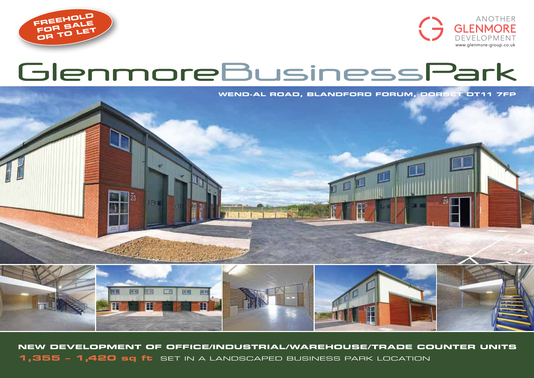



# GlenmoreBusinessPark

**WEND-AL ROAD, BLANDFORD FORUM, DORSET DT11 7FP**



**New development of OFFICE/industrial/warehouse/Trade counter units 1,355 – 1,420 sq ft** set in a landscaped business park location